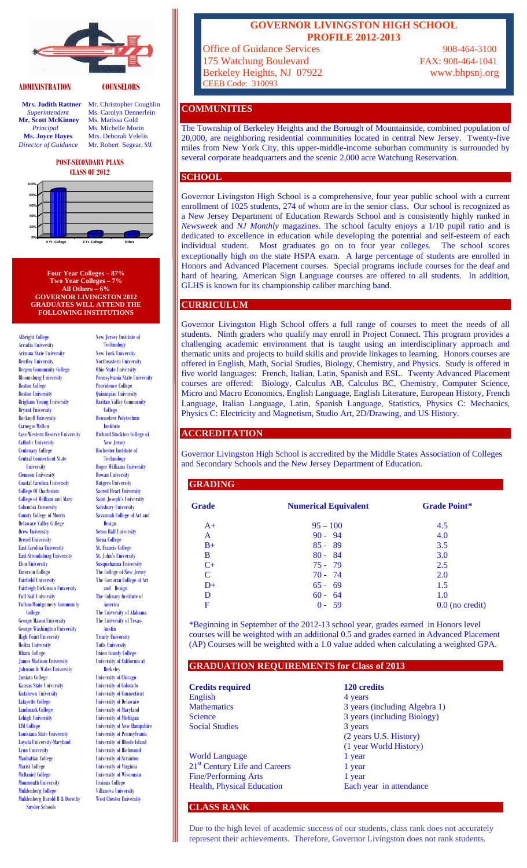

## **ADMINISTRATION COUNSELORS**

**Mr. Scott McKinney** Ms. Marissa Gold **Principal** Ms. Michelle Morin<br> **Ms. Joyce Hayes** Mrs. Deborah Veleli *Director of Guidance* Mr. Robert Segear, SAC

**Mrs. Judith Rattner** Mr. Christopher Coughlin Superintendent Ms. Carolyn Dennerlein **Ms. Carolyn Dennerlein Mrs. Deborah Velelis** 

#### **POST-SECONDARY PLANS CLASS OF 2012**



**Four Year Colleges – 87% Two Year Colleges – 7% All Others – 6% GOVERNOR LIVINGSTON 2012 GRADUATES WILL ATTEND THE FOLLOWING INSTITUTIONS** 

Albright College Arcadia University Arizona State University Bentley University Bergen Community College Bloomsburg University Boston College Boston University Brigham Young University Bryant University Bucknell University Carnegie Mellon Case Western Reserve University Catholic University Centenary College Central Connecticut State University Clemson University Coastal Carolina University College Of Charleston College of William and Mary Columbia University County College of Morris Delaware Valley College Drew University Drexel University East Carolina University East Stroudsburg University Elon University Emerson College Fairfield University Fairleigh Dickinson University Full Sail University Fulton-Montgomery Community College George Mason University George Washington University High Point University Hoftra University Ithaca College James Madison University Johnson & Wales University Juniata College Kansas State University Kutztown University Lafayette College Landmark College Lehigh University LIM College Louisiana State University Loyola University-Maryland Lynn University Manhattan College Marist College McDaniel College Monmouth University Muhlenberg College Muhlenberg Harold B & Dorothy Snyder Schools

New Jersey Institute of **Technology** New York University Northeastern University Ohio State University Pennsylvania State University Providence College Quinnipiac University Raritan Valley Community College Rensselaer Polytechnic Institute Richard Stockton College of New Jersey Rochester Institute of **Technology** Roger Williams University Rowan University Rutgers University Sacred Heart University Saint Joseph's University Salisbury University Savannah College of Art and Design Seton Hall University Siena College St. Francis College St. John's University Susquehanna University The College of New Jersey The Corcoran College of Art and Design The Culinary Institute of America The University of Alabama The University of Texas-Austin Trinity University Tufts University Union County College University of California at Berkeley University of Chicago University of Colorado University of Connecticut University of Delaware University of Maryland University of Michigan University of New Hampshire University of Pennsylvania University of Rhode Island University of Richmond University of Scranton University of Virginia University of Wisconsin Ursinus College Villanova University West Chester University

## **GOVERNOR LIVINGSTON HIGH SCHOOL PROFILE 2012-2013**

Office of Guidance Services 908-464-3100 175 Watchung Boulevard FAX: 908-464-1041 Berkeley Heights, NJ 07922 www.bhpsnj.org CEEB Code: 310093

# **COMMUNITIES**

The Township of Berkeley Heights and the Borough of Mountainside, combined population of 20,000, are neighboring residential communities located in central New Jersey. Twenty-five miles from New York City, this upper-middle-income suburban community is surrounded by several corporate headquarters and the scenic 2,000 acre Watchung Reservation.

## **SCHOOL**

Governor Livingston High School is a comprehensive, four year public school with a current enrollment of 1025 students, 274 of whom are in the senior class. Our school is recognized as a New Jersey Department of Education Rewards School and is consistently highly ranked in *Newsweek* and *NJ Monthly* magazines. The school faculty enjoys a 1/10 pupil ratio and is dedicated to excellence in education while developing the potential and self-esteem of each individual student. Most graduates go on to four year colleges. The school scores exceptionally high on the state HSPA exam. A large percentage of students are enrolled in Honors and Advanced Placement courses. Special programs include courses for the deaf and hard of hearing. American Sign Language courses are offered to all students. In addition, GLHS is known for its championship caliber marching band.

# **CURRICULUM**

Governor Livingston High School offers a full range of courses to meet the needs of all students. Ninth graders who qualify may enroll in Project Connect. This program provides a challenging academic environment that is taught using an interdisciplinary approach and thematic units and projects to build skills and provide linkages to learning. Honors courses are offered in English, Math, Social Studies, Biology, Chemistry, and Physics. Study is offered in five world languages: French, Italian, Latin, Spanish and ESL. Twenty Advanced Placement courses are offered: Biology, Calculus AB, Calculus BC, Chemistry, Computer Science, Micro and Macro Economics, English Language, English Literature, European History, French Language, Italian Language, Latin, Spanish Language, Statistics, Physics C: Mechanics, Physics C: Electricity and Magnetism, Studio Art, 2D/Drawing, and US History.

## **ACCREDITATION**

Governor Livingston High School is accredited by the Middle States Association of Colleges and Secondary Schools and the New Jersey Department of Education.

# **GRADING**

| <b>Grade</b>  | <b>Numerical Equivalent</b> | <b>Grade Point*</b> |
|---------------|-----------------------------|---------------------|
| $A+$          | $95 - 100$                  | 4.5                 |
| A             | $90 - 94$                   | 4.0                 |
| $B+$          | $85 - 89$                   | 3.5                 |
| B             | $80 - 84$                   | 3.0                 |
| $C+$          | $75 - 79$                   | 2.5                 |
| $\mathcal{C}$ | $70 - 74$                   | 2.0                 |
| $D+$          | $65 - 69$                   | 1.5                 |
| D             | $60 - 64$                   | 1.0                 |
| F             | $0 - 59$                    | $0.0$ (no credit)   |

\*Beginning in September of the 2012-13 school year, grades earned in Honors level courses will be weighted with an additional 0.5 and grades earned in Advanced Placement (AP) Courses will be weighted with a 1.0 value added when calculating a weighted GPA.

# **GRADUATION REQUIREMENTS for Class of 2013**

| <b>Credits required</b>                   | 120 credits                   |
|-------------------------------------------|-------------------------------|
| English                                   | 4 years                       |
| <b>Mathematics</b>                        | 3 years (including Algebra 1) |
| Science                                   | 3 years (including Biology)   |
| <b>Social Studies</b>                     | 3 years                       |
|                                           | (2 years U.S. History)        |
|                                           | (1 year World History)        |
| <b>World Language</b>                     | 1 year                        |
| 21 <sup>st</sup> Century Life and Careers | 1 year                        |
| <b>Fine/Performing Arts</b>               | 1 year                        |
| <b>Health, Physical Education</b>         | Each year in attendance       |
|                                           |                               |

**CLASS RANK** 

Due to the high level of academic success of our students, class rank does not accurately represent their achievements. Therefore, Governor Livingston does not rank students.